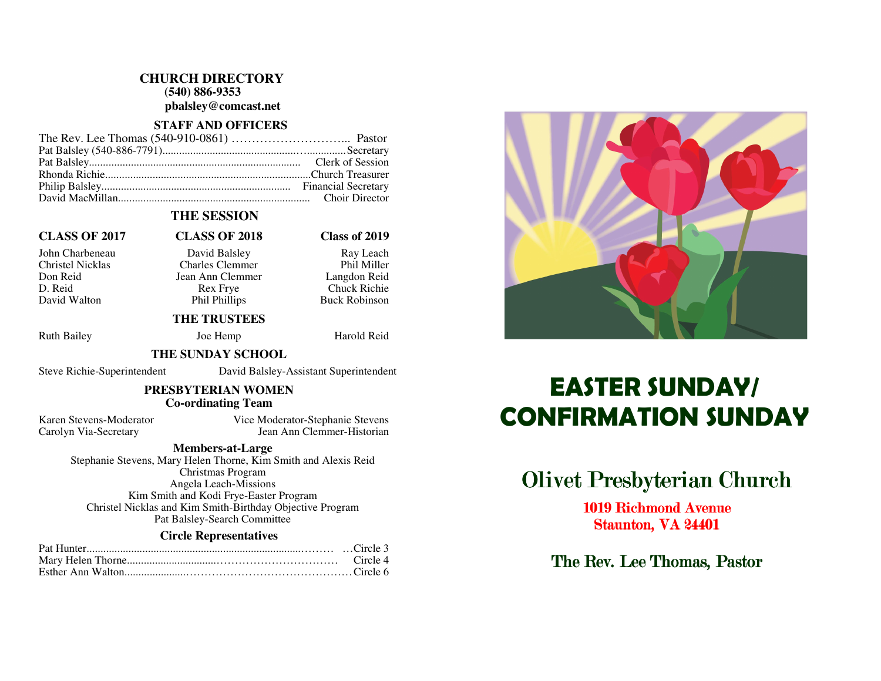### **CHURCH DIRECTORY**

 **(540) 886-9353** 

**pbalsley@comcast.net** 

### **STAFF AND OFFICERS**

## **THE SESSION**

### **CLASS OF 2017 CLASS OF 2018 Class of 2019**

D. Reid Rex Frye Chuck Richie David Walton Phil Phillips

John Charbeneau David Balsley Ray Leach Christel Nicklas Charles Clemmer Don Reid Jean Ann Clemmer

Phil Miller Langdon Reid **Buck Robinson** 

### **THE TRUSTEES**

Ruth Bailey **Joe Hemp** Harold Reid

### **THE SUNDAY SCHOOL**

Steve Richie-Superintendent David Balsley-Assistant Superintendent

### **PRESBYTERIAN WOMEN Co-ordinating Team**

Karen Stevens-Moderator Vice Moderator-Stephanie Stevens Carolyn Via-Secretary Jean Ann Clemmer-Historian

### **Members-at-Large**

 Stephanie Stevens, Mary Helen Thorne, Kim Smith and Alexis Reid Christmas Program Angela Leach-Missions Kim Smith and Kodi Frye-Easter Program Christel Nicklas and Kim Smith-Birthday Objective Program Pat Balsley-Search Committee

### **Circle Representatives**



# CONFIRMATION SUNDAY

# **Olivet Presbyterian Church**

1019 Richmond Avenue Staunton, VA 24401

The Rev. Lee Thomas, Pastor